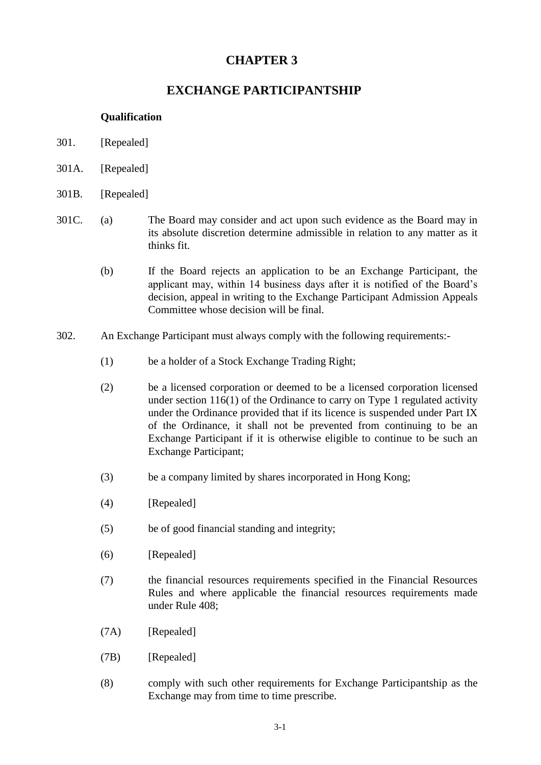# **CHAPTER 3**

# **EXCHANGE PARTICIPANTSHIP**

# **Qualification**

- 301. [Repealed]
- 301A. [Repealed]
- 301B. [Repealed]
- 301C. (a) The Board may consider and act upon such evidence as the Board may in its absolute discretion determine admissible in relation to any matter as it thinks fit.
	- (b) If the Board rejects an application to be an Exchange Participant, the applicant may, within 14 business days after it is notified of the Board's decision, appeal in writing to the Exchange Participant Admission Appeals Committee whose decision will be final.
- 302. An Exchange Participant must always comply with the following requirements:-
	- (1) be a holder of a Stock Exchange Trading Right;
	- (2) be a licensed corporation or deemed to be a licensed corporation licensed under section  $116(1)$  of the Ordinance to carry on Type 1 regulated activity under the Ordinance provided that if its licence is suspended under Part IX of the Ordinance, it shall not be prevented from continuing to be an Exchange Participant if it is otherwise eligible to continue to be such an Exchange Participant;
	- (3) be a company limited by shares incorporated in Hong Kong;
	- (4) [Repealed]
	- (5) be of good financial standing and integrity;
	- (6) [Repealed]
	- (7) the financial resources requirements specified in the Financial Resources Rules and where applicable the financial resources requirements made under Rule 408;
	- (7A) [Repealed]
	- (7B) [Repealed]
	- (8) comply with such other requirements for Exchange Participantship as the Exchange may from time to time prescribe.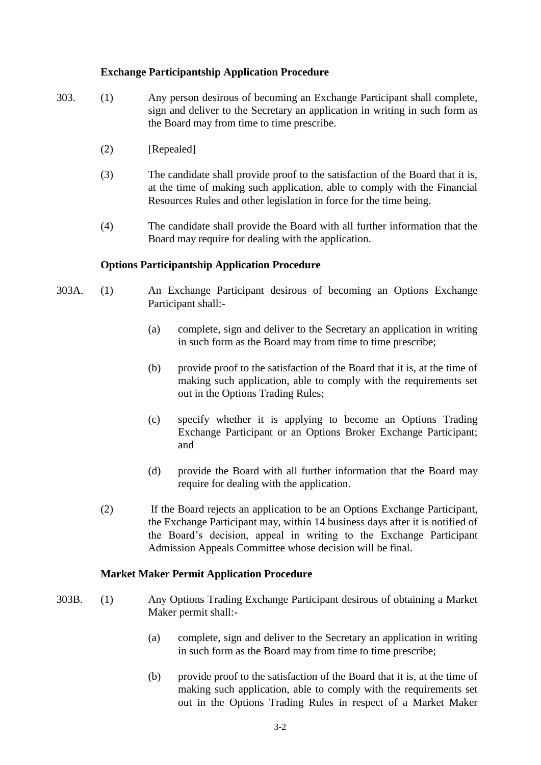## **Exchange Participantship Application Procedure**

- 303. (1) Any person desirous of becoming an Exchange Participant shall complete, sign and deliver to the Secretary an application in writing in such form as the Board may from time to time prescribe.
	- (2) [Repealed]
	- (3) The candidate shall provide proof to the satisfaction of the Board that it is, at the time of making such application, able to comply with the Financial Resources Rules and other legislation in force for the time being.
	- (4) The candidate shall provide the Board with all further information that the Board may require for dealing with the application.

### **Options Participantship Application Procedure**

- 303A. (1) An Exchange Participant desirous of becoming an Options Exchange Participant shall:-
	- (a) complete, sign and deliver to the Secretary an application in writing in such form as the Board may from time to time prescribe;
	- (b) provide proof to the satisfaction of the Board that it is, at the time of making such application, able to comply with the requirements set out in the Options Trading Rules;
	- (c) specify whether it is applying to become an Options Trading Exchange Participant or an Options Broker Exchange Participant; and
	- (d) provide the Board with all further information that the Board may require for dealing with the application.
	- (2) If the Board rejects an application to be an Options Exchange Participant, the Exchange Participant may, within 14 business days after it is notified of the Board's decision, appeal in writing to the Exchange Participant Admission Appeals Committee whose decision will be final.

#### **Market Maker Permit Application Procedure**

- 303B. (1) Any Options Trading Exchange Participant desirous of obtaining a Market Maker permit shall:-
	- (a) complete, sign and deliver to the Secretary an application in writing in such form as the Board may from time to time prescribe;
	- (b) provide proof to the satisfaction of the Board that it is, at the time of making such application, able to comply with the requirements set out in the Options Trading Rules in respect of a Market Maker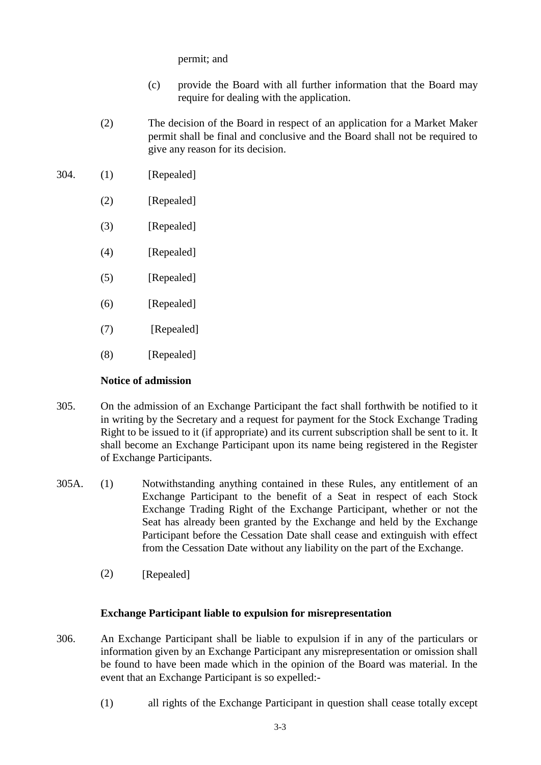permit; and

- (c) provide the Board with all further information that the Board may require for dealing with the application.
- (2) The decision of the Board in respect of an application for a Market Maker permit shall be final and conclusive and the Board shall not be required to give any reason for its decision.
- 304. (1) [Repealed]
	- (2) [Repealed]
	- (3) [Repealed]
	- (4) [Repealed]
	- (5) [Repealed]
	- (6) [Repealed]
	- (7) [Repealed]
	- (8) [Repealed]

## **Notice of admission**

- 305. On the admission of an Exchange Participant the fact shall forthwith be notified to it in writing by the Secretary and a request for payment for the Stock Exchange Trading Right to be issued to it (if appropriate) and its current subscription shall be sent to it. It shall become an Exchange Participant upon its name being registered in the Register of Exchange Participants.
- 305A. (1) Notwithstanding anything contained in these Rules, any entitlement of an Exchange Participant to the benefit of a Seat in respect of each Stock Exchange Trading Right of the Exchange Participant, whether or not the Seat has already been granted by the Exchange and held by the Exchange Participant before the Cessation Date shall cease and extinguish with effect from the Cessation Date without any liability on the part of the Exchange.
	- (2) [Repealed]

### **Exchange Participant liable to expulsion for misrepresentation**

- 306. An Exchange Participant shall be liable to expulsion if in any of the particulars or information given by an Exchange Participant any misrepresentation or omission shall be found to have been made which in the opinion of the Board was material. In the event that an Exchange Participant is so expelled:-
	- (1) all rights of the Exchange Participant in question shall cease totally except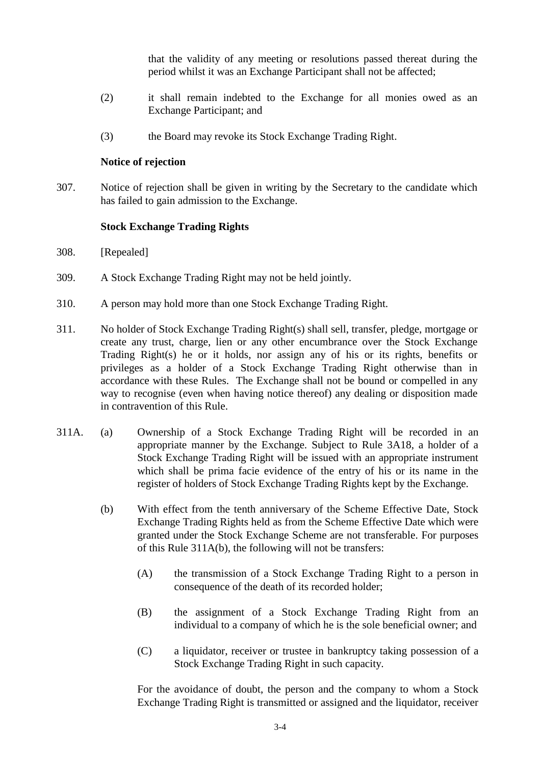that the validity of any meeting or resolutions passed thereat during the period whilst it was an Exchange Participant shall not be affected;

- (2) it shall remain indebted to the Exchange for all monies owed as an Exchange Participant; and
- (3) the Board may revoke its Stock Exchange Trading Right.

#### **Notice of rejection**

307. Notice of rejection shall be given in writing by the Secretary to the candidate which has failed to gain admission to the Exchange.

#### **Stock Exchange Trading Rights**

- 308. [Repealed]
- 309. A Stock Exchange Trading Right may not be held jointly.
- 310. A person may hold more than one Stock Exchange Trading Right.
- 311. No holder of Stock Exchange Trading Right(s) shall sell, transfer, pledge, mortgage or create any trust, charge, lien or any other encumbrance over the Stock Exchange Trading Right(s) he or it holds, nor assign any of his or its rights, benefits or privileges as a holder of a Stock Exchange Trading Right otherwise than in accordance with these Rules. The Exchange shall not be bound or compelled in any way to recognise (even when having notice thereof) any dealing or disposition made in contravention of this Rule.
- 311A. (a) Ownership of a Stock Exchange Trading Right will be recorded in an appropriate manner by the Exchange. Subject to Rule 3A18, a holder of a Stock Exchange Trading Right will be issued with an appropriate instrument which shall be prima facie evidence of the entry of his or its name in the register of holders of Stock Exchange Trading Rights kept by the Exchange.
	- (b) With effect from the tenth anniversary of the Scheme Effective Date, Stock Exchange Trading Rights held as from the Scheme Effective Date which were granted under the Stock Exchange Scheme are not transferable. For purposes of this Rule 311A(b), the following will not be transfers:
		- (A) the transmission of a Stock Exchange Trading Right to a person in consequence of the death of its recorded holder;
		- (B) the assignment of a Stock Exchange Trading Right from an individual to a company of which he is the sole beneficial owner; and
		- (C) a liquidator, receiver or trustee in bankruptcy taking possession of a Stock Exchange Trading Right in such capacity.

For the avoidance of doubt, the person and the company to whom a Stock Exchange Trading Right is transmitted or assigned and the liquidator, receiver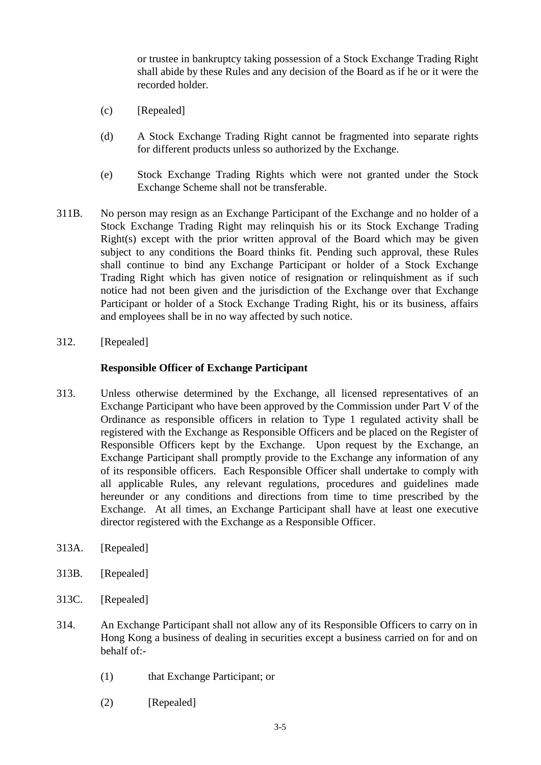or trustee in bankruptcy taking possession of a Stock Exchange Trading Right shall abide by these Rules and any decision of the Board as if he or it were the recorded holder.

- (c) [Repealed]
- (d) A Stock Exchange Trading Right cannot be fragmented into separate rights for different products unless so authorized by the Exchange.
- (e) Stock Exchange Trading Rights which were not granted under the Stock Exchange Scheme shall not be transferable.
- 311B. No person may resign as an Exchange Participant of the Exchange and no holder of a Stock Exchange Trading Right may relinquish his or its Stock Exchange Trading  $Right(s)$  except with the prior written approval of the Board which may be given subject to any conditions the Board thinks fit. Pending such approval, these Rules shall continue to bind any Exchange Participant or holder of a Stock Exchange Trading Right which has given notice of resignation or relinquishment as if such notice had not been given and the jurisdiction of the Exchange over that Exchange Participant or holder of a Stock Exchange Trading Right, his or its business, affairs and employees shall be in no way affected by such notice.
- 312. [Repealed]

## **Responsible Officer of Exchange Participant**

- 313. Unless otherwise determined by the Exchange, all licensed representatives of an Exchange Participant who have been approved by the Commission under Part V of the Ordinance as responsible officers in relation to Type 1 regulated activity shall be registered with the Exchange as Responsible Officers and be placed on the Register of Responsible Officers kept by the Exchange. Upon request by the Exchange, an Exchange Participant shall promptly provide to the Exchange any information of any of its responsible officers. Each Responsible Officer shall undertake to comply with all applicable Rules, any relevant regulations, procedures and guidelines made hereunder or any conditions and directions from time to time prescribed by the Exchange. At all times, an Exchange Participant shall have at least one executive director registered with the Exchange as a Responsible Officer.
- 313A. [Repealed]
- 313B. [Repealed]
- 313C. [Repealed]
- 314. An Exchange Participant shall not allow any of its Responsible Officers to carry on in Hong Kong a business of dealing in securities except a business carried on for and on behalf of:-
	- (1) that Exchange Participant; or
	- (2) [Repealed]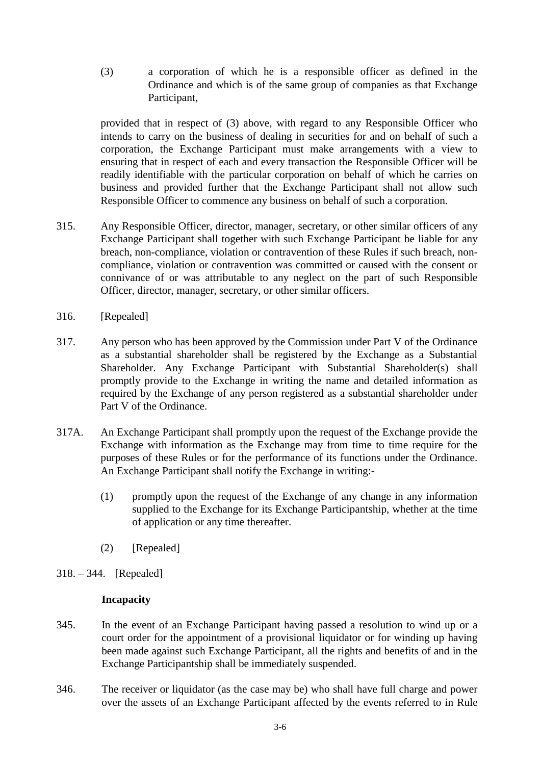(3) a corporation of which he is a responsible officer as defined in the Ordinance and which is of the same group of companies as that Exchange Participant,

provided that in respect of (3) above, with regard to any Responsible Officer who intends to carry on the business of dealing in securities for and on behalf of such a corporation, the Exchange Participant must make arrangements with a view to ensuring that in respect of each and every transaction the Responsible Officer will be readily identifiable with the particular corporation on behalf of which he carries on business and provided further that the Exchange Participant shall not allow such Responsible Officer to commence any business on behalf of such a corporation.

- 315. Any Responsible Officer, director, manager, secretary, or other similar officers of any Exchange Participant shall together with such Exchange Participant be liable for any breach, non-compliance, violation or contravention of these Rules if such breach, noncompliance, violation or contravention was committed or caused with the consent or connivance of or was attributable to any neglect on the part of such Responsible Officer, director, manager, secretary, or other similar officers.
- 316. [Repealed]
- 317. Any person who has been approved by the Commission under Part V of the Ordinance as a substantial shareholder shall be registered by the Exchange as a Substantial Shareholder. Any Exchange Participant with Substantial Shareholder(s) shall promptly provide to the Exchange in writing the name and detailed information as required by the Exchange of any person registered as a substantial shareholder under Part V of the Ordinance.
- 317A. An Exchange Participant shall promptly upon the request of the Exchange provide the Exchange with information as the Exchange may from time to time require for the purposes of these Rules or for the performance of its functions under the Ordinance. An Exchange Participant shall notify the Exchange in writing:-
	- (1) promptly upon the request of the Exchange of any change in any information supplied to the Exchange for its Exchange Participantship, whether at the time of application or any time thereafter.
	- (2) [Repealed]
- 318. 344. [Repealed]

### **Incapacity**

- 345. In the event of an Exchange Participant having passed a resolution to wind up or a court order for the appointment of a provisional liquidator or for winding up having been made against such Exchange Participant, all the rights and benefits of and in the Exchange Participantship shall be immediately suspended.
- 346. The receiver or liquidator (as the case may be) who shall have full charge and power over the assets of an Exchange Participant affected by the events referred to in Rule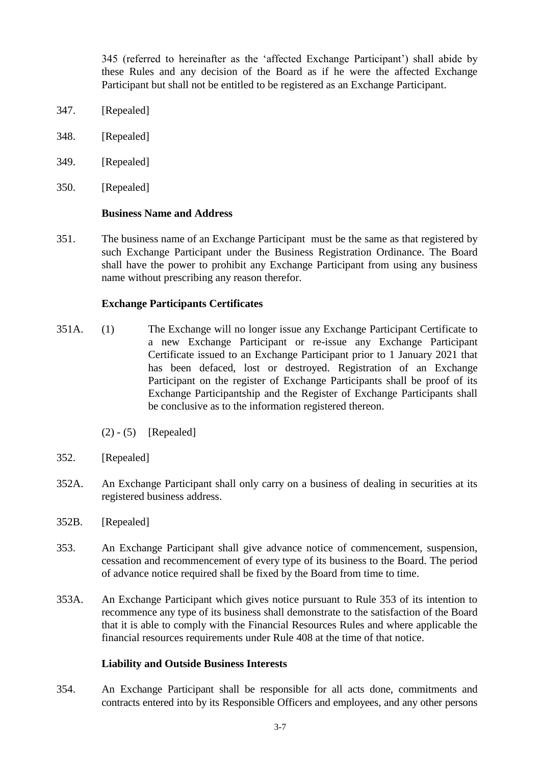345 (referred to hereinafter as the 'affected Exchange Participant') shall abide by these Rules and any decision of the Board as if he were the affected Exchange Participant but shall not be entitled to be registered as an Exchange Participant.

- 347. [Repealed]
- 348. [Repealed]
- 349. [Repealed]
- 350. [Repealed]

#### **Business Name and Address**

351. The business name of an Exchange Participant must be the same as that registered by such Exchange Participant under the Business Registration Ordinance. The Board shall have the power to prohibit any Exchange Participant from using any business name without prescribing any reason therefor.

### **Exchange Participants Certificates**

- 351A. (1) The Exchange will no longer issue any Exchange Participant Certificate to a new Exchange Participant or re-issue any Exchange Participant Certificate issued to an Exchange Participant prior to 1 January 2021 that has been defaced, lost or destroyed. Registration of an Exchange Participant on the register of Exchange Participants shall be proof of its Exchange Participantship and the Register of Exchange Participants shall be conclusive as to the information registered thereon.
	- $(2) (5)$  [Repealed]
- 352. [Repealed]
- 352A. An Exchange Participant shall only carry on a business of dealing in securities at its registered business address.
- 352B. [Repealed]
- 353. An Exchange Participant shall give advance notice of commencement, suspension, cessation and recommencement of every type of its business to the Board. The period of advance notice required shall be fixed by the Board from time to time.
- 353A. An Exchange Participant which gives notice pursuant to Rule 353 of its intention to recommence any type of its business shall demonstrate to the satisfaction of the Board that it is able to comply with the Financial Resources Rules and where applicable the financial resources requirements under Rule 408 at the time of that notice.

## **Liability and Outside Business Interests**

354. An Exchange Participant shall be responsible for all acts done, commitments and contracts entered into by its Responsible Officers and employees, and any other persons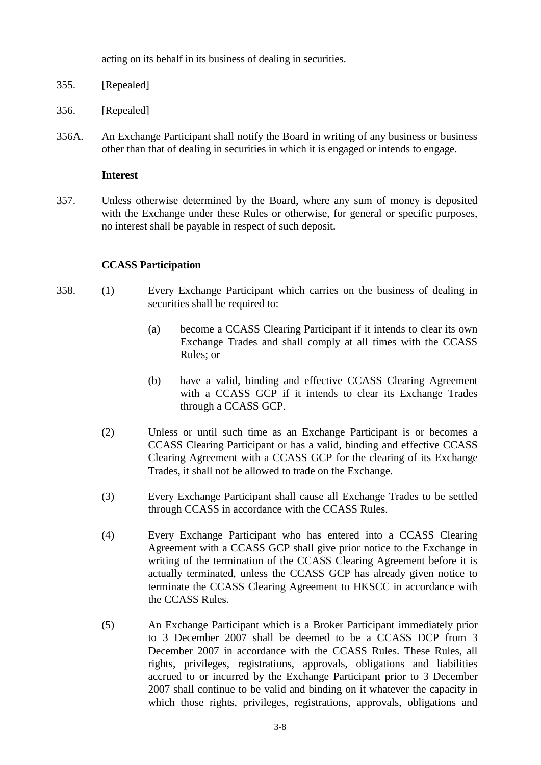acting on its behalf in its business of dealing in securities.

- 355. [Repealed]
- 356. [Repealed]
- 356A. An Exchange Participant shall notify the Board in writing of any business or business other than that of dealing in securities in which it is engaged or intends to engage.

## **Interest**

357. Unless otherwise determined by the Board, where any sum of money is deposited with the Exchange under these Rules or otherwise, for general or specific purposes, no interest shall be payable in respect of such deposit.

## **CCASS Participation**

- 358. (1) Every Exchange Participant which carries on the business of dealing in securities shall be required to:
	- (a) become a CCASS Clearing Participant if it intends to clear its own Exchange Trades and shall comply at all times with the CCASS Rules; or
	- (b) have a valid, binding and effective CCASS Clearing Agreement with a CCASS GCP if it intends to clear its Exchange Trades through a CCASS GCP.
	- (2) Unless or until such time as an Exchange Participant is or becomes a CCASS Clearing Participant or has a valid, binding and effective CCASS Clearing Agreement with a CCASS GCP for the clearing of its Exchange Trades, it shall not be allowed to trade on the Exchange.
	- (3) Every Exchange Participant shall cause all Exchange Trades to be settled through CCASS in accordance with the CCASS Rules.
	- (4) Every Exchange Participant who has entered into a CCASS Clearing Agreement with a CCASS GCP shall give prior notice to the Exchange in writing of the termination of the CCASS Clearing Agreement before it is actually terminated, unless the CCASS GCP has already given notice to terminate the CCASS Clearing Agreement to HKSCC in accordance with the CCASS Rules.
	- (5) An Exchange Participant which is a Broker Participant immediately prior to 3 December 2007 shall be deemed to be a CCASS DCP from 3 December 2007 in accordance with the CCASS Rules. These Rules, all rights, privileges, registrations, approvals, obligations and liabilities accrued to or incurred by the Exchange Participant prior to 3 December 2007 shall continue to be valid and binding on it whatever the capacity in which those rights, privileges, registrations, approvals, obligations and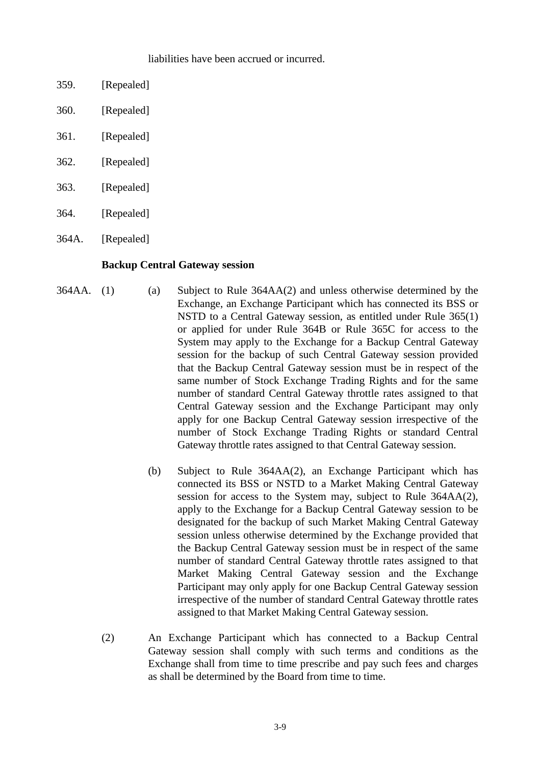## liabilities have been accrued or incurred.

- 359. [Repealed]
- 360. [Repealed]
- 361. [Repealed]
- 362. [Repealed]
- 363. [Repealed]
- 364. [Repealed]
- 364A. [Repealed]

### **Backup Central Gateway session**

- 364AA. (1) (a) Subject to Rule 364AA(2) and unless otherwise determined by the Exchange, an Exchange Participant which has connected its BSS or NSTD to a Central Gateway session, as entitled under Rule 365(1) or applied for under Rule 364B or Rule 365C for access to the System may apply to the Exchange for a Backup Central Gateway session for the backup of such Central Gateway session provided that the Backup Central Gateway session must be in respect of the same number of Stock Exchange Trading Rights and for the same number of standard Central Gateway throttle rates assigned to that Central Gateway session and the Exchange Participant may only apply for one Backup Central Gateway session irrespective of the number of Stock Exchange Trading Rights or standard Central Gateway throttle rates assigned to that Central Gateway session.
	- (b) Subject to Rule 364AA(2), an Exchange Participant which has connected its BSS or NSTD to a Market Making Central Gateway session for access to the System may, subject to Rule 364AA(2), apply to the Exchange for a Backup Central Gateway session to be designated for the backup of such Market Making Central Gateway session unless otherwise determined by the Exchange provided that the Backup Central Gateway session must be in respect of the same number of standard Central Gateway throttle rates assigned to that Market Making Central Gateway session and the Exchange Participant may only apply for one Backup Central Gateway session irrespective of the number of standard Central Gateway throttle rates assigned to that Market Making Central Gateway session.
	- (2) An Exchange Participant which has connected to a Backup Central Gateway session shall comply with such terms and conditions as the Exchange shall from time to time prescribe and pay such fees and charges as shall be determined by the Board from time to time.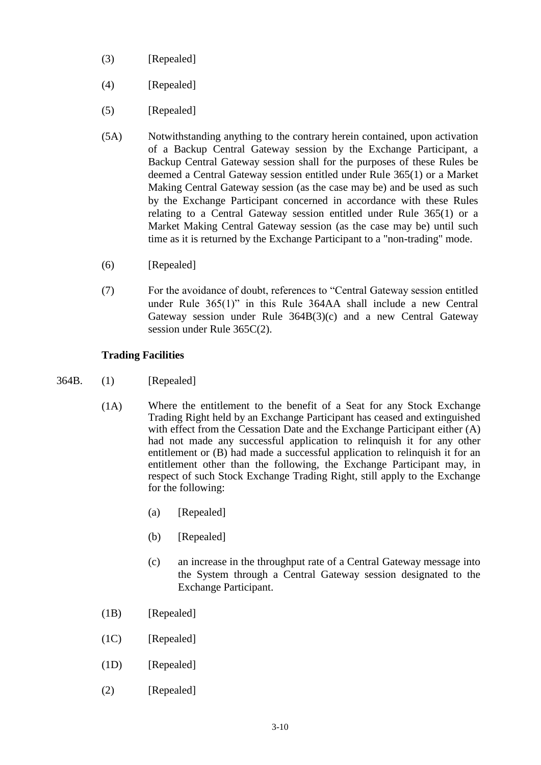- (3) [Repealed]
- (4) [Repealed]
- (5) [Repealed]
- (5A) Notwithstanding anything to the contrary herein contained, upon activation of a Backup Central Gateway session by the Exchange Participant, a Backup Central Gateway session shall for the purposes of these Rules be deemed a Central Gateway session entitled under Rule 365(1) or a Market Making Central Gateway session (as the case may be) and be used as such by the Exchange Participant concerned in accordance with these Rules relating to a Central Gateway session entitled under Rule 365(1) or a Market Making Central Gateway session (as the case may be) until such time as it is returned by the Exchange Participant to a "non-trading" mode.
- (6) [Repealed]
- (7) For the avoidance of doubt, references to "Central Gateway session entitled under Rule 365(1)" in this Rule 364AA shall include a new Central Gateway session under Rule 364B(3)(c) and a new Central Gateway session under Rule 365C(2).

# **Trading Facilities**

- 364B. (1) [Repealed]
	- (1A) Where the entitlement to the benefit of a Seat for any Stock Exchange Trading Right held by an Exchange Participant has ceased and extinguished with effect from the Cessation Date and the Exchange Participant either (A) had not made any successful application to relinquish it for any other entitlement or (B) had made a successful application to relinquish it for an entitlement other than the following, the Exchange Participant may, in respect of such Stock Exchange Trading Right, still apply to the Exchange for the following:
		- (a) [Repealed]
		- (b) [Repealed]
		- (c) an increase in the throughput rate of a Central Gateway message into the System through a Central Gateway session designated to the Exchange Participant.
	- (1B) [Repealed]
	- (1C) [Repealed]
	- (1D) [Repealed]
	- (2) [Repealed]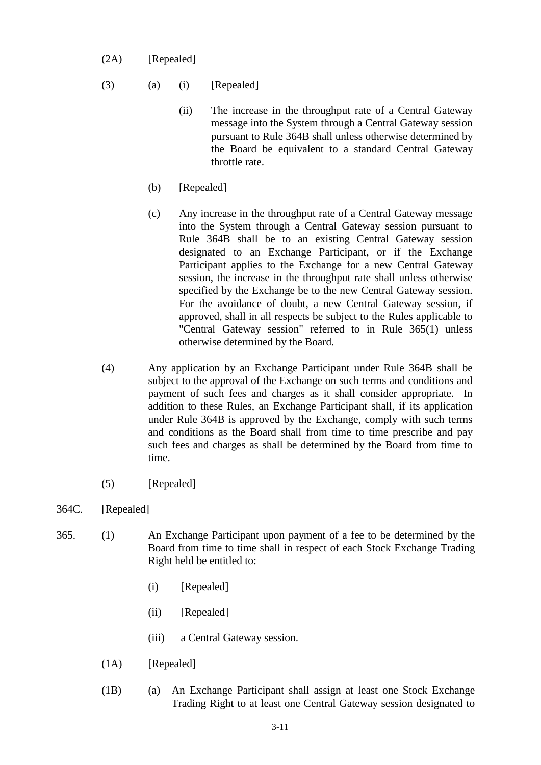- (2A) [Repealed]
- $(3)$   $(a)$   $(i)$  [Repealed]
	- (ii) The increase in the throughput rate of a Central Gateway message into the System through a Central Gateway session pursuant to Rule 364B shall unless otherwise determined by the Board be equivalent to a standard Central Gateway throttle rate.
	- (b) [Repealed]
	- (c) Any increase in the throughput rate of a Central Gateway message into the System through a Central Gateway session pursuant to Rule 364B shall be to an existing Central Gateway session designated to an Exchange Participant, or if the Exchange Participant applies to the Exchange for a new Central Gateway session, the increase in the throughput rate shall unless otherwise specified by the Exchange be to the new Central Gateway session. For the avoidance of doubt, a new Central Gateway session, if approved, shall in all respects be subject to the Rules applicable to "Central Gateway session" referred to in Rule 365(1) unless otherwise determined by the Board.
- (4) Any application by an Exchange Participant under Rule 364B shall be subject to the approval of the Exchange on such terms and conditions and payment of such fees and charges as it shall consider appropriate. In addition to these Rules, an Exchange Participant shall, if its application under Rule 364B is approved by the Exchange, comply with such terms and conditions as the Board shall from time to time prescribe and pay such fees and charges as shall be determined by the Board from time to time.
- (5) [Repealed]
- 364C. [Repealed]
- 365. (1) An Exchange Participant upon payment of a fee to be determined by the Board from time to time shall in respect of each Stock Exchange Trading Right held be entitled to:
	- (i) [Repealed]
	- (ii) [Repealed]
	- (iii) a Central Gateway session.
	- (1A) [Repealed]
	- (1B) (a) An Exchange Participant shall assign at least one Stock Exchange Trading Right to at least one Central Gateway session designated to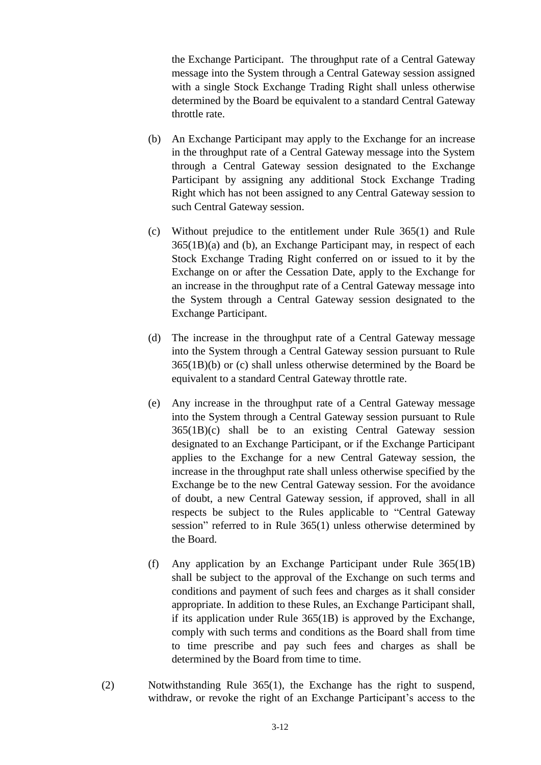the Exchange Participant. The throughput rate of a Central Gateway message into the System through a Central Gateway session assigned with a single Stock Exchange Trading Right shall unless otherwise determined by the Board be equivalent to a standard Central Gateway throttle rate.

- (b) An Exchange Participant may apply to the Exchange for an increase in the throughput rate of a Central Gateway message into the System through a Central Gateway session designated to the Exchange Participant by assigning any additional Stock Exchange Trading Right which has not been assigned to any Central Gateway session to such Central Gateway session.
- (c) Without prejudice to the entitlement under Rule 365(1) and Rule 365(1B)(a) and (b), an Exchange Participant may, in respect of each Stock Exchange Trading Right conferred on or issued to it by the Exchange on or after the Cessation Date, apply to the Exchange for an increase in the throughput rate of a Central Gateway message into the System through a Central Gateway session designated to the Exchange Participant.
- (d) The increase in the throughput rate of a Central Gateway message into the System through a Central Gateway session pursuant to Rule 365(1B)(b) or (c) shall unless otherwise determined by the Board be equivalent to a standard Central Gateway throttle rate.
- (e) Any increase in the throughput rate of a Central Gateway message into the System through a Central Gateway session pursuant to Rule 365(1B)(c) shall be to an existing Central Gateway session designated to an Exchange Participant, or if the Exchange Participant applies to the Exchange for a new Central Gateway session, the increase in the throughput rate shall unless otherwise specified by the Exchange be to the new Central Gateway session. For the avoidance of doubt, a new Central Gateway session, if approved, shall in all respects be subject to the Rules applicable to "Central Gateway session" referred to in Rule 365(1) unless otherwise determined by the Board.
- (f) Any application by an Exchange Participant under Rule 365(1B) shall be subject to the approval of the Exchange on such terms and conditions and payment of such fees and charges as it shall consider appropriate. In addition to these Rules, an Exchange Participant shall, if its application under Rule 365(1B) is approved by the Exchange, comply with such terms and conditions as the Board shall from time to time prescribe and pay such fees and charges as shall be determined by the Board from time to time.
- (2) Notwithstanding Rule 365(1), the Exchange has the right to suspend, withdraw, or revoke the right of an Exchange Participant's access to the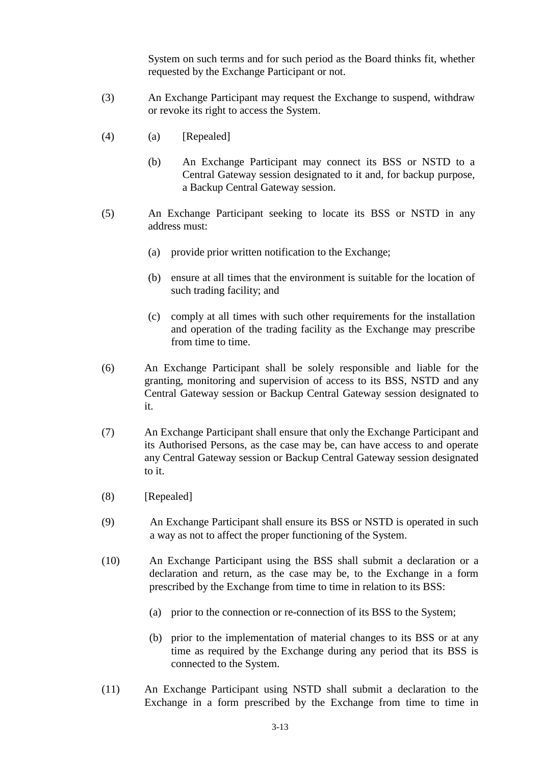System on such terms and for such period as the Board thinks fit, whether requested by the Exchange Participant or not.

- (3) An Exchange Participant may request the Exchange to suspend, withdraw or revoke its right to access the System.
- (4) (a) [Repealed]
	- (b) An Exchange Participant may connect its BSS or NSTD to a Central Gateway session designated to it and, for backup purpose, a Backup Central Gateway session.
- (5) An Exchange Participant seeking to locate its BSS or NSTD in any address must:
	- (a) provide prior written notification to the Exchange;
	- (b) ensure at all times that the environment is suitable for the location of such trading facility; and
	- (c) comply at all times with such other requirements for the installation and operation of the trading facility as the Exchange may prescribe from time to time.
- (6) An Exchange Participant shall be solely responsible and liable for the granting, monitoring and supervision of access to its BSS, NSTD and any Central Gateway session or Backup Central Gateway session designated to it.
- (7) An Exchange Participant shall ensure that only the Exchange Participant and its Authorised Persons, as the case may be, can have access to and operate any Central Gateway session or Backup Central Gateway session designated to it.
- (8) [Repealed]
- (9) An Exchange Participant shall ensure its BSS or NSTD is operated in such a way as not to affect the proper functioning of the System.
- (10) An Exchange Participant using the BSS shall submit a declaration or a declaration and return, as the case may be, to the Exchange in a form prescribed by the Exchange from time to time in relation to its BSS:
	- (a) prior to the connection or re-connection of its BSS to the System;
	- (b) prior to the implementation of material changes to its BSS or at any time as required by the Exchange during any period that its BSS is connected to the System.
- (11) An Exchange Participant using NSTD shall submit a declaration to the Exchange in a form prescribed by the Exchange from time to time in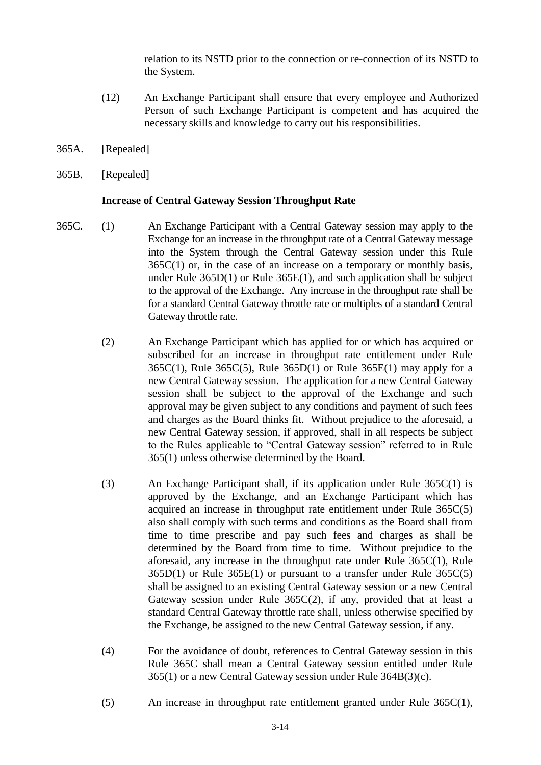relation to its NSTD prior to the connection or re-connection of its NSTD to the System.

- (12) An Exchange Participant shall ensure that every employee and Authorized Person of such Exchange Participant is competent and has acquired the necessary skills and knowledge to carry out his responsibilities.
- 365A. [Repealed]
- 365B. [Repealed]

### **Increase of Central Gateway Session Throughput Rate**

- 365C. (1) An Exchange Participant with a Central Gateway session may apply to the Exchange for an increase in the throughput rate of a Central Gateway message into the System through the Central Gateway session under this Rule  $365C(1)$  or, in the case of an increase on a temporary or monthly basis, under Rule 365D(1) or Rule 365E(1), and such application shall be subject to the approval of the Exchange. Any increase in the throughput rate shall be for a standard Central Gateway throttle rate or multiples of a standard Central Gateway throttle rate.
	- (2) An Exchange Participant which has applied for or which has acquired or subscribed for an increase in throughput rate entitlement under Rule 365C(1), Rule 365C(5), Rule 365D(1) or Rule 365E(1) may apply for a new Central Gateway session. The application for a new Central Gateway session shall be subject to the approval of the Exchange and such approval may be given subject to any conditions and payment of such fees and charges as the Board thinks fit. Without prejudice to the aforesaid, a new Central Gateway session, if approved, shall in all respects be subject to the Rules applicable to "Central Gateway session" referred to in Rule 365(1) unless otherwise determined by the Board.
	- (3) An Exchange Participant shall, if its application under Rule 365C(1) is approved by the Exchange, and an Exchange Participant which has acquired an increase in throughput rate entitlement under Rule 365C(5) also shall comply with such terms and conditions as the Board shall from time to time prescribe and pay such fees and charges as shall be determined by the Board from time to time. Without prejudice to the aforesaid, any increase in the throughput rate under Rule 365C(1), Rule 365D(1) or Rule 365E(1) or pursuant to a transfer under Rule 365C(5) shall be assigned to an existing Central Gateway session or a new Central Gateway session under Rule 365C(2), if any, provided that at least a standard Central Gateway throttle rate shall, unless otherwise specified by the Exchange, be assigned to the new Central Gateway session, if any.
	- (4) For the avoidance of doubt, references to Central Gateway session in this Rule 365C shall mean a Central Gateway session entitled under Rule 365(1) or a new Central Gateway session under Rule 364B(3)(c).
	- (5) An increase in throughput rate entitlement granted under Rule 365C(1),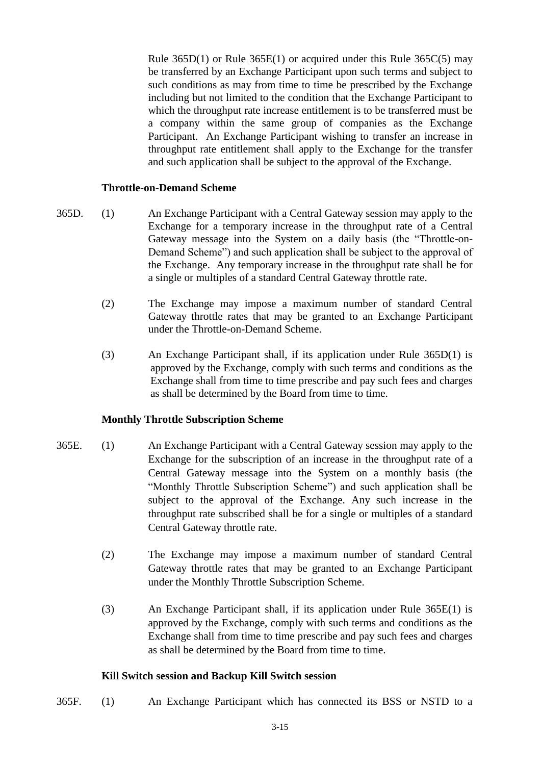Rule 365D(1) or Rule 365E(1) or acquired under this Rule 365C(5) may be transferred by an Exchange Participant upon such terms and subject to such conditions as may from time to time be prescribed by the Exchange including but not limited to the condition that the Exchange Participant to which the throughput rate increase entitlement is to be transferred must be a company within the same group of companies as the Exchange Participant. An Exchange Participant wishing to transfer an increase in throughput rate entitlement shall apply to the Exchange for the transfer and such application shall be subject to the approval of the Exchange.

## **Throttle-on-Demand Scheme**

- 365D. (1) An Exchange Participant with a Central Gateway session may apply to the Exchange for a temporary increase in the throughput rate of a Central Gateway message into the System on a daily basis (the "Throttle-on-Demand Scheme") and such application shall be subject to the approval of the Exchange. Any temporary increase in the throughput rate shall be for a single or multiples of a standard Central Gateway throttle rate.
	- (2) The Exchange may impose a maximum number of standard Central Gateway throttle rates that may be granted to an Exchange Participant under the Throttle-on-Demand Scheme.
	- (3) An Exchange Participant shall, if its application under Rule 365D(1) is approved by the Exchange, comply with such terms and conditions as the Exchange shall from time to time prescribe and pay such fees and charges as shall be determined by the Board from time to time.

# **Monthly Throttle Subscription Scheme**

- 365E. (1) An Exchange Participant with a Central Gateway session may apply to the Exchange for the subscription of an increase in the throughput rate of a Central Gateway message into the System on a monthly basis (the "Monthly Throttle Subscription Scheme") and such application shall be subject to the approval of the Exchange. Any such increase in the throughput rate subscribed shall be for a single or multiples of a standard Central Gateway throttle rate.
	- (2) The Exchange may impose a maximum number of standard Central Gateway throttle rates that may be granted to an Exchange Participant under the Monthly Throttle Subscription Scheme.
	- (3) An Exchange Participant shall, if its application under Rule 365E(1) is approved by the Exchange, comply with such terms and conditions as the Exchange shall from time to time prescribe and pay such fees and charges as shall be determined by the Board from time to time.

### **Kill Switch session and Backup Kill Switch session**

365F. (1) An Exchange Participant which has connected its BSS or NSTD to a